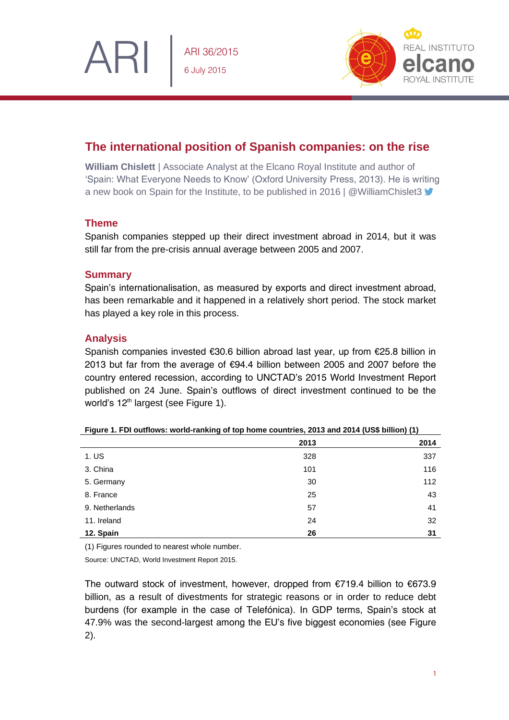

ARI 36/2015 6 July 2015



# **The international position of Spanish companies: on the rise**

**William Chislett** | Associate Analyst at the Elcano Royal Institute and author of 'Spain: What Everyone Needs to Know' (Oxford University Press, 2013). He is writing a new book on Spain for the Institute, to be published in 2016 | @WilliamChislet3

## **Theme**

Spanish companies stepped up their direct investment abroad in 2014, but it was still far from the pre-crisis annual average between 2005 and 2007.

### **Summary**

Spain's internationalisation, as measured by exports and direct investment abroad, has been remarkable and it happened in a relatively short period. The stock market has played a key role in this process.

### **Analysis**

Spanish companies invested €30.6 billion abroad last year, up from €25.8 billion in 2013 but far from the average of €94.4 billion between 2005 and 2007 before the country entered recession, according to UNCTAD's 2015 World Investment Report published on 24 June. Spain's outflows of direct investment continued to be the world's 12<sup>th</sup> largest (see Figure 1).

|                | 2013 | 2014 |
|----------------|------|------|
| 1. US          | 328  | 337  |
| 3. China       | 101  | 116  |
| 5. Germany     | 30   | 112  |
| 8. France      | 25   | 43   |
| 9. Netherlands | 57   | 41   |
| 11. Ireland    | 24   | 32   |
| 12. Spain      | 26   | 31   |

|  | Figure 1. FDI outflows: world-ranking of top home countries, 2013 and 2014 (US\$ billion) (1) |  |  |  |  |  |
|--|-----------------------------------------------------------------------------------------------|--|--|--|--|--|
|--|-----------------------------------------------------------------------------------------------|--|--|--|--|--|

(1) Figures rounded to nearest whole number.

Source: UNCTAD, World Investment Report 2015.

The outward stock of investment, however, dropped from €719.4 billion to €673.9 billion, as a result of divestments for strategic reasons or in order to reduce debt burdens (for example in the case of Telefónica). In GDP terms, Spain's stock at 47.9% was the second-largest among the EU's five biggest economies (see Figure 2).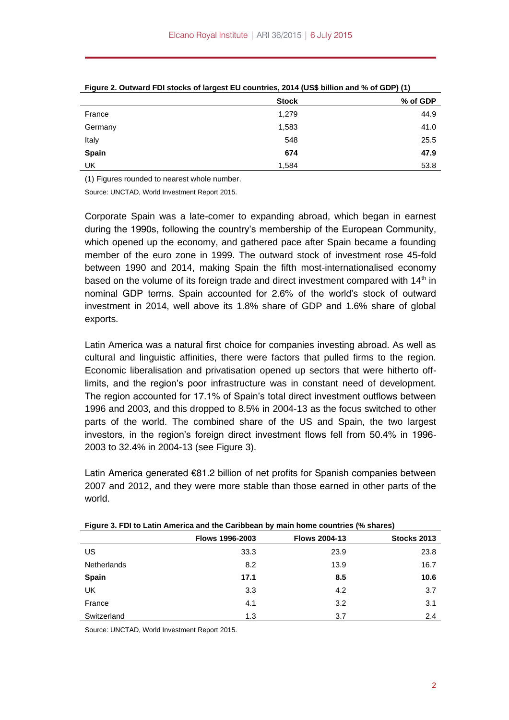|              | <b>Stock</b> | % of GDP |
|--------------|--------------|----------|
| France       | 1,279        | 44.9     |
| Germany      | 1,583        | 41.0     |
| Italy        | 548          | 25.5     |
| <b>Spain</b> | 674          | 47.9     |
| UK           | 1,584        | 53.8     |

**Figure 2. Outward FDI stocks of largest EU countries, 2014 (US\$ billion and % of GDP) (1)**

(1) Figures rounded to nearest whole number.

Source: UNCTAD, World Investment Report 2015.

Corporate Spain was a late-comer to expanding abroad, which began in earnest during the 1990s, following the country's membership of the European Community, which opened up the economy, and gathered pace after Spain became a founding member of the euro zone in 1999. The outward stock of investment rose 45-fold between 1990 and 2014, making Spain the fifth most-internationalised economy based on the volume of its foreign trade and direct investment compared with  $14<sup>th</sup>$  in nominal GDP terms. Spain accounted for 2.6% of the world's stock of outward investment in 2014, well above its 1.8% share of GDP and 1.6% share of global exports.

Latin America was a natural first choice for companies investing abroad. As well as cultural and linguistic affinities, there were factors that pulled firms to the region. Economic liberalisation and privatisation opened up sectors that were hitherto offlimits, and the region's poor infrastructure was in constant need of development. The region accounted for 17.1% of Spain's total direct investment outflows between 1996 and 2003, and this dropped to 8.5% in 2004-13 as the focus switched to other parts of the world. The combined share of the US and Spain, the two largest investors, in the region's foreign direct investment flows fell from 50.4% in 1996- 2003 to 32.4% in 2004-13 (see Figure 3).

Latin America generated €81.2 billion of net profits for Spanish companies between 2007 and 2012, and they were more stable than those earned in other parts of the world.

| .                  | Flows 1996-2003 | <b>Flows 2004-13</b> | Stocks 2013 |
|--------------------|-----------------|----------------------|-------------|
| US                 | 33.3            | 23.9                 | 23.8        |
| <b>Netherlands</b> | 8.2             | 13.9                 | 16.7        |
| Spain              | 17.1            | 8.5                  | 10.6        |
| UK                 | 3.3             | 4.2                  | 3.7         |
| France             | 4.1             | 3.2                  | 3.1         |
| Switzerland        | 1.3             | 3.7                  | 2.4         |

**Figure 3. FDI to Latin America and the Caribbean by main home countries (% shares)**

Source: UNCTAD, World Investment Report 2015.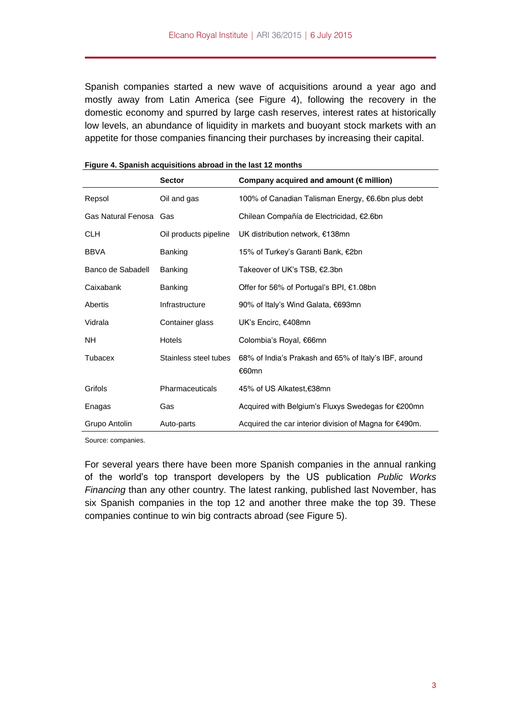Spanish companies started a new wave of acquisitions around a year ago and mostly away from Latin America (see Figure 4), following the recovery in the domestic economy and spurred by large cash reserves, interest rates at historically low levels, an abundance of liquidity in markets and buoyant stock markets with an appetite for those companies financing their purchases by increasing their capital.

|                        | <b>Sector</b>         | Company acquired and amount ( $\epsilon$ million)              |
|------------------------|-----------------------|----------------------------------------------------------------|
| Repsol                 | Oil and gas           | 100% of Canadian Talisman Energy, €6.6bn plus debt             |
| Gas Natural Fenosa Gas |                       | Chilean Compañía de Electricidad, €2.6bn                       |
| CLH                    | Oil products pipeline | UK distribution network, €138mn                                |
| <b>BBVA</b>            | <b>Banking</b>        | 15% of Turkey's Garanti Bank, €2bn                             |
| Banco de Sabadell      | <b>Banking</b>        | Takeover of UK's TSB, €2.3bn                                   |
| Caixabank              | Banking               | Offer for 56% of Portugal's BPI, €1.08bn                       |
| Abertis                | Infrastructure        | 90% of Italy's Wind Galata, €693mn                             |
| Vidrala                | Container glass       | UK's Encirc, €408mn                                            |
| NH.                    | <b>Hotels</b>         | Colombia's Royal, €66mn                                        |
| Tubacex                | Stainless steel tubes | 68% of India's Prakash and 65% of Italy's IBF, around<br>€60mn |
| Grifols                | Pharmaceuticals       | 45% of US Alkatest,€38mn                                       |
| Enagas                 | Gas                   | Acquired with Belgium's Fluxys Swedegas for €200mn             |
| Grupo Antolin          | Auto-parts            | Acquired the car interior division of Magna for €490m.         |

| Figure 4. Spanish acquisitions abroad in the last 12 months |  |  |  |
|-------------------------------------------------------------|--|--|--|
|                                                             |  |  |  |

Source: companies.

For several years there have been more Spanish companies in the annual ranking of the world's top transport developers by the US publication *Public Works Financing* than any other country. The latest ranking, published last November, has six Spanish companies in the top 12 and another three make the top 39. These companies continue to win big contracts abroad (see Figure 5).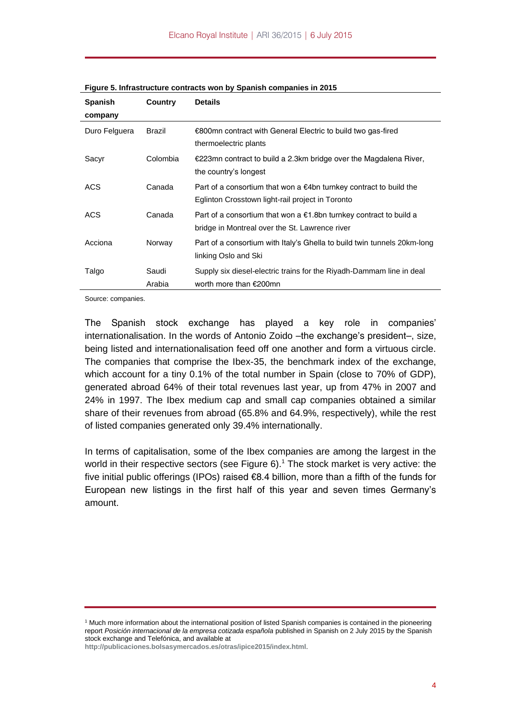| <b>Spanish</b> | Country         | <b>Details</b>                                                                                                                   |
|----------------|-----------------|----------------------------------------------------------------------------------------------------------------------------------|
| company        |                 |                                                                                                                                  |
| Duro Felguera  | Brazil          | €800mn contract with General Electric to build two gas-fired<br>thermoelectric plants                                            |
| Sacyr          | Colombia        | €223mn contract to build a 2.3km bridge over the Magdalena River,<br>the country's longest                                       |
| <b>ACS</b>     | Canada          | Part of a consortium that won a $\epsilon$ 4bn turnkey contract to build the<br>Eglinton Crosstown light-rail project in Toronto |
| <b>ACS</b>     | Canada          | Part of a consortium that won a $\epsilon$ 1.8bn turnkey contract to build a<br>bridge in Montreal over the St. Lawrence river   |
| Acciona        | Norway          | Part of a consortium with Italy's Ghella to build twin tunnels 20km-long<br>linking Oslo and Ski                                 |
| Talgo          | Saudi<br>Arabia | Supply six diesel-electric trains for the Riyadh-Dammam line in deal<br>worth more than €200mn                                   |

**Figure 5. Infrastructure contracts won by Spanish companies in 2015**

Source: companies.

The Spanish stock exchange has played a key role in companies' internationalisation. In the words of Antonio Zoido –the exchange's president–, size, being listed and internationalisation feed off one another and form a virtuous circle. The companies that comprise the Ibex-35, the benchmark index of the exchange, which account for a tiny 0.1% of the total number in Spain (close to 70% of GDP), generated abroad 64% of their total revenues last year, up from 47% in 2007 and 24% in 1997. The Ibex medium cap and small cap companies obtained a similar share of their revenues from abroad (65.8% and 64.9%, respectively), while the rest of listed companies generated only 39.4% internationally.

In terms of capitalisation, some of the Ibex companies are among the largest in the world in their respective sectors (see Figure  $6$ ).<sup>1</sup> The stock market is very active: the five initial public offerings (IPOs) raised €8.4 billion, more than a fifth of the funds for European new listings in the first half of this year and seven times Germany's amount.

**<http://publicaciones.bolsasymercados.es/otras/ipice2015/index.html>**.

<sup>1</sup> Much more information about the international position of listed Spanish companies is contained in the pioneering report Posición internacional de la empresa cotizada española published in Spanish on 2 July 2015 by the Spanish stock exchange and Telefónica, and available at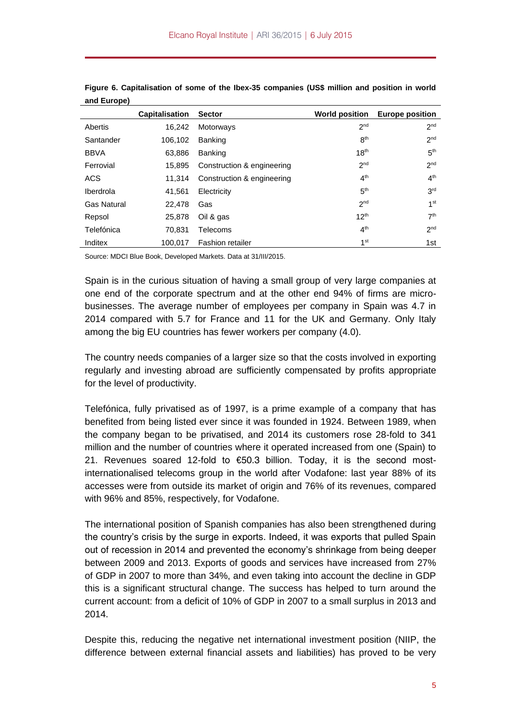|                    | <b>Capitalisation</b> | <b>Sector</b>              | <b>World position</b> | <b>Europe position</b> |
|--------------------|-----------------------|----------------------------|-----------------------|------------------------|
| Abertis            | 16,242                | Motorways                  | 2 <sub>nd</sub>       | 2 <sub>nd</sub>        |
| Santander          | 106.102               | Banking                    | 8 <sup>th</sup>       | 2 <sub>nd</sub>        |
| <b>BBVA</b>        | 63,886                | <b>Banking</b>             | 18 <sup>th</sup>      | 5 <sup>th</sup>        |
| Ferrovial          | 15,895                | Construction & engineering | 2 <sub>nd</sub>       | 2 <sub>nd</sub>        |
| ACS                | 11.314                | Construction & engineering | 4 <sup>th</sup>       | 4 <sup>th</sup>        |
| Iberdrola          | 41,561                | Electricity                | 5 <sup>th</sup>       | 3 <sup>rd</sup>        |
| <b>Gas Natural</b> | 22.478                | Gas                        | 2 <sub>nd</sub>       | 1 <sup>st</sup>        |
| Repsol             | 25,878                | Oil & gas                  | 12 <sup>th</sup>      | 7 <sup>th</sup>        |
| Telefónica         | 70.831                | Telecoms                   | 4 <sup>th</sup>       | 2 <sub>nd</sub>        |
| Inditex            | 100.017               | <b>Fashion retailer</b>    | 1 <sup>st</sup>       | 1st                    |

**Figure 6. Capitalisation of some of the Ibex-35 companies (US\$ million and position in world and Europe)**

Source: MDCI Blue Book, Developed Markets. Data at 31/III/2015.

Spain is in the curious situation of having a small group of very large companies at one end of the corporate spectrum and at the other end 94% of firms are microbusinesses. The average number of employees per company in Spain was 4.7 in 2014 compared with 5.7 for France and 11 for the UK and Germany. Only Italy among the big EU countries has fewer workers per company (4.0).

The country needs companies of a larger size so that the costs involved in exporting regularly and investing abroad are sufficiently compensated by profits appropriate for the level of productivity.

Telefónica, fully privatised as of 1997, is a prime example of a company that has benefited from being listed ever since it was founded in 1924. Between 1989, when the company began to be privatised, and 2014 its customers rose 28-fold to 341 million and the number of countries where it operated increased from one (Spain) to 21. Revenues soared 12-fold to €50.3 billion. Today, it is the second mostinternationalised telecoms group in the world after Vodafone: last year 88% of its accesses were from outside its market of origin and 76% of its revenues, compared with 96% and 85%, respectively, for Vodafone.

The international position of Spanish companies has also been strengthened during the country's crisis by the surge in exports. Indeed, it was exports that pulled Spain out of recession in 2014 and prevented the economy's shrinkage from being deeper between 2009 and 2013. Exports of goods and services have increased from 27% of GDP in 2007 to more than 34%, and even taking into account the decline in GDP this is a significant structural change. The success has helped to turn around the current account: from a deficit of 10% of GDP in 2007 to a small surplus in 2013 and 2014.

Despite this, reducing the negative net international investment position (NIIP, the difference between external financial assets and liabilities) has proved to be very